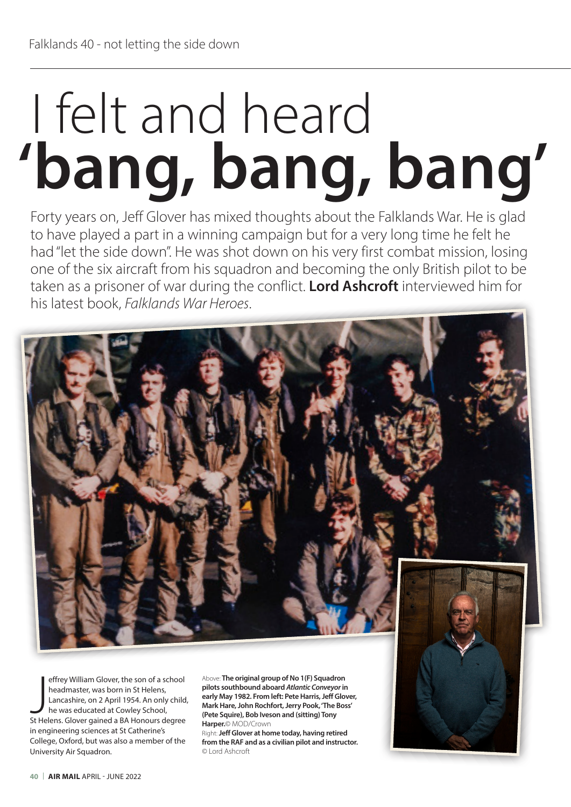## **'bang, bang, bang'** I felt and heard

Forty years on, Jeff Glover has mixed thoughts about the Falklands War. He is glad to have played a part in a winning campaign but for a very long time he felt he had "let the side down". He was shot down on his very first combat mission, losing one of the six aircraft from his squadron and becoming the only British pilot to be taken as a prisoner of war during the conflict. **Lord Ashcroft** interviewed him for his latest book, *Falklands War Heroes*.



effrey William Glover, the son of a school<br>headmaster, was born in St Helens,<br>Lancashire, on 2 April 1954. An only child<br>he was educated at Cowley School,<br>St Helens. Glover gained a BA Honours degree effrey William Glover, the son of a school headmaster, was born in St Helens, Lancashire, on 2 April 1954. An only child, he was educated at Cowley School, in engineering sciences at St Catherine's College, Oxford, but was also a member of the University Air Squadron.

Above: **The original group of No 1(F) Squadron pilots southbound aboard** *Atlantic Conveyor* **in early May 1982. From left: Pete Harris, Jeff Glover, Mark Hare, John Rochfort, Jerry Pook, 'The Boss' (Pete Squire), Bob Iveson and (sitting) Tony Harper.**© MOD/Crown

Right: **Jeff Glover at home today, having retired from the RAF and as a civilian pilot and instructor.**  © Lord Ashcroft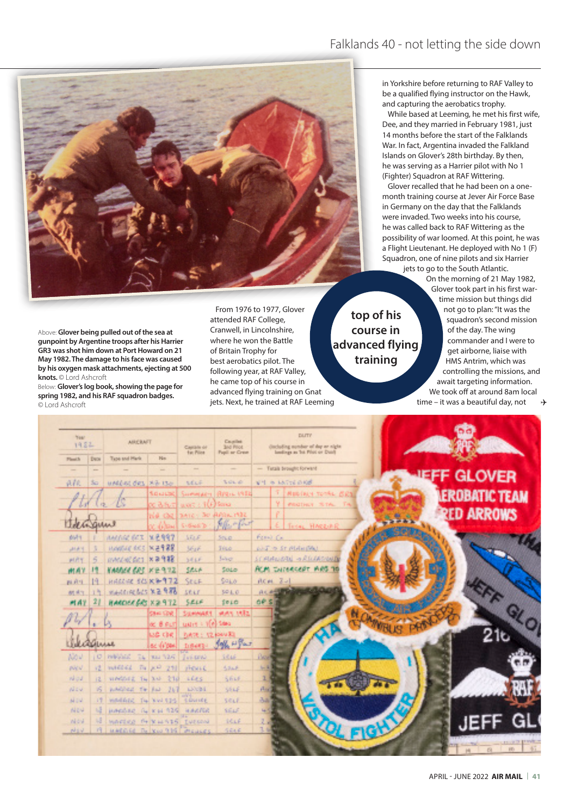

Above: **Glover being pulled out of the sea at gunpoint by Argentine troops after his Harrier GR3 was shot him down at Port Howard on 21 May 1982. The damage to his face was caused by his oxygen mask attachments, ejecting at 500 knots.** © Lord Ashcroft

Below: **Glover's log book, showing the page for spring 1982, and his RAF squadron badges.**  © Lord Ashcroft

From 1976 to 1977, Glover attended RAF College, Cranwell, in Lincolnshire, where he won the Battle of Britain Trophy for best aerobatics pilot. The following year, at RAF Valley, he came top of his course in advanced flying training on Gnat jets. Next, he trained at RAF Leeming

**top of his course in advanced flying training**

in Yorkshire before returning to RAF Valley to be a qualified flying instructor on the Hawk, and capturing the aerobatics trophy.

While based at Leeming, he met his first wife, Dee, and they married in February 1981, just 14 months before the start of the Falklands War. In fact, Argentina invaded the Falkland Islands on Glover's 28th birthday. By then, he was serving as a Harrier pilot with No 1 (Fighter) Squadron at RAF Wittering.

Glover recalled that he had been on a onemonth training course at Jever Air Force Base in Germany on the day that the Falklands were invaded. Two weeks into his course, he was called back to RAF Wittering as the possibility of war loomed. At this point, he was a Flight Lieutenant. He deployed with No 1 (F) Squadron, one of nine pilots and six Harrier jets to go to the South Atlantic.

On the morning of 21 May 1982, Glover took part in his first wartime mission but things did not go to plan: "It was the squadron's second mission of the day. The wing commander and I were to get airborne, liaise with HMS Antrim, which was controlling the missions, and await targeting information. We took off at around 8am local time – it was a beautiful day, not  $\rightarrow$ 

| News:<br>1982 |           | <b>ABICBAFT</b>               |                | Carrolle of<br>the Pillott | Counties<br><b>Jud Prior</b><br>Fuell or Crear | DUTE.<br>discluding member of day or night.<br>landings as 'Ist. First or Dunk |                   |  |
|---------------|-----------|-------------------------------|----------------|----------------------------|------------------------------------------------|--------------------------------------------------------------------------------|-------------------|--|
| Planet &      | Dwow.     | Tape and Harls                | <b>Film</b>    |                            |                                                |                                                                                |                   |  |
| $\sim$        | $\sim$    |                               | ÷              | me.                        |                                                | - Tusais brought forward                                                       |                   |  |
| 森林            | So.       | untilst des Sibisso           |                | <b>WELF</b>                | North all                                      | VI + Mini 6Kd                                                                  | <b>GLOVER</b>     |  |
|               |           |                               | South          |                            | Susmit admi (RPD) L V9 EB                      | MIRING TOTAL ERS                                                               | EROBATIC TEAM     |  |
|               |           | ſs.                           | x aast         | $0.05 \pm 100$ Small       |                                                | <b>PROTHUS SITAL</b> THE                                                       |                   |  |
|               |           |                               |                | HA CHE EXATO: SO APRILIMED |                                                |                                                                                | <b>RED ARROWS</b> |  |
|               | Garlont   |                               | California     | <b>SHOWED</b>              | <b>Allen Chat</b>                              | Tesas, HARBURA                                                                 |                   |  |
| puls          |           | AMERIC BET                    | <b>MERRY</b>   | <b>STOFF</b>               | 500.01                                         | Forest Car                                                                     |                   |  |
| 2010          | 围         | HARRIE ACT NETRE              |                | <b>SELF</b>                | Téso:                                          | <b>WEIT IN STIPLEHERM</b>                                                      |                   |  |
| 开启生           | 6         | mented dict x 8918            |                | SELF.                      | <b>Julian</b>                                  | SCHANDER - RECARDING                                                           |                   |  |
| 两点字           |           | KAANSE GEE KIERTZ             |                | 花花の井                       | Sour                                           | <b>ACM THOMASSET MAS TO</b>                                                    |                   |  |
| 西府市           |           | <b>HALLAC SCI K 9-972</b>     |                | SELF                       | 9466                                           | $RCM = Z - 1$                                                                  |                   |  |
| 树枝生           |           | <b>Medinically NB 978</b>     |                | 5018                       | 501.0                                          | <b>PARTIES</b><br>ALC: MARIN                                                   |                   |  |
| <b>MAT</b>    | 28        | RANDER GRS X 2 9 T2           |                | SELF                       | 1010                                           | oe s                                                                           |                   |  |
|               |           |                               | Save Cove      | SUMMARY                    | WAY MBL                                        |                                                                                |                   |  |
|               |           |                               | oc Binut       | Lister + Web Stea          |                                                |                                                                                |                   |  |
|               |           |                               | <b>LOG CRE</b> | DATE: 12 (244) 83          |                                                |                                                                                |                   |  |
|               |           | 0.4.4.0                       | ac from        | 当然の時に                      | John H Par                                     |                                                                                |                   |  |
| Nov.          | o         | <b>INVESTIGATION</b>          | T4   RAI 12/5  | <b>June 1892</b>           | 1646                                           | <b>Security</b>                                                                |                   |  |
| pine          | 食         | <b><i><u>INFORCE</u></i></b>  | 西 天平 210       | should.                    | 5218                                           | uщ                                                                             |                   |  |
| <b>No.d</b>   | 12.       | streetheart Tay And-          | 210            | <b>LEES</b>                | Shut.                                          | n.                                                                             |                   |  |
| <b>All of</b> | <b>16</b> | politics to but               | $-267$         | alors in                   | 5946                                           | Aid                                                                            |                   |  |
| <b>ALC U</b>  | (1)       | washing Tu You (19) counts    |                |                            | SELF.                                          | 夜雨                                                                             |                   |  |
| <b>ALCH</b>   | us.       | puedad is called askette      |                |                            | <b>SELF</b>                                    | 4                                                                              |                   |  |
| ni ini        |           | MARINE PERMITS INCOME         |                |                            | 14.66                                          |                                                                                |                   |  |
| págiai.       | r9.       | HARRISE THE YOU TEST PROJECTS |                |                            | 0.646                                          |                                                                                |                   |  |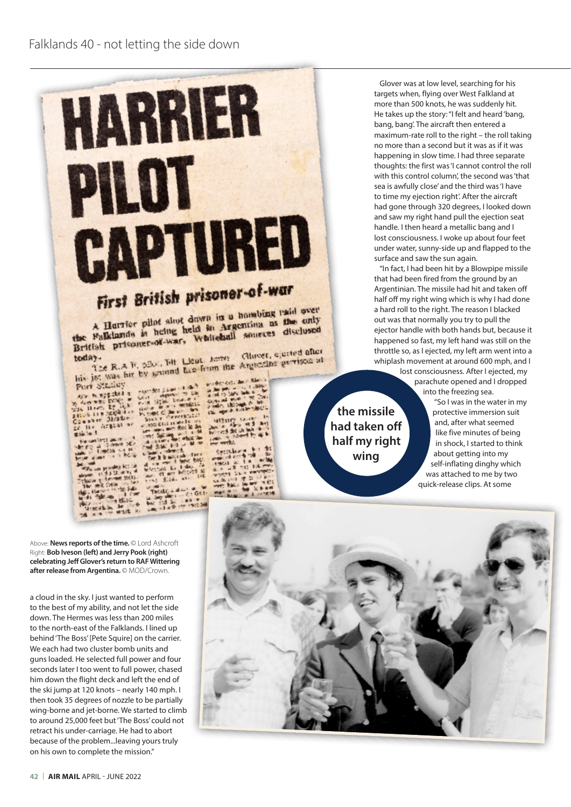

Glover was at low level, searching for his targets when, flying over West Falkland at more than 500 knots, he was suddenly hit. He takes up the story: "I felt and heard 'bang, bang, bang'. The aircraft then entered a maximum-rate roll to the right – the roll taking no more than a second but it was as if it was happening in slow time. I had three separate thoughts: the first was 'I cannot control the roll with this control column' the second was 'that sea is awfully close' and the third was 'I have to time my ejection right'. After the aircraft had gone through 320 degrees, I looked down and saw my right hand pull the ejection seat handle. I then heard a metallic bang and I lost consciousness. I woke up about four feet under water, sunny-side up and flapped to the surface and saw the sun again.

"In fact, I had been hit by a Blowpipe missile that had been fired from the ground by an Argentinian. The missile had hit and taken off half off my right wing which is why I had done a hard roll to the right. The reason I blacked out was that normally you try to pull the ejector handle with both hands but, because it happened so fast, my left hand was still on the throttle so, as I ejected, my left arm went into a whiplash movement at around 600 mph, and I

lost consciousness. After I ejected, my parachute opened and I dropped into the freezing sea.

> "So I was in the water in my protective immersion suit and, after what seemed like five minutes of being in shock, I started to think about getting into my self-inflating dinghy which was attached to me by two quick-release clips. At some

Above: **News reports of the time.** © Lord Ashcroft Right: **Bob Iveson (left) and Jerry Pook (right) celebrating Jeff Glover's return to RAF Wittering after release from Argentina.** © MOD/Crown.

a cloud in the sky. I just wanted to perform to the best of my ability, and not let the side down. The Hermes was less than 200 miles to the north-east of the Falklands. I lined up behind 'The Boss' [Pete Squire] on the carrier. We each had two cluster bomb units and guns loaded. He selected full power and four seconds later I too went to full power, chased him down the flight deck and left the end of the ski jump at 120 knots – nearly 140 mph. I then took 35 degrees of nozzle to be partially wing-borne and jet-borne. We started to climb to around 25,000 feet but 'The Boss' could not retract his under-carriage. He had to abort because of the problem...leaving yours truly on his own to complete the mission."



**the missile had taken off half my right wing**